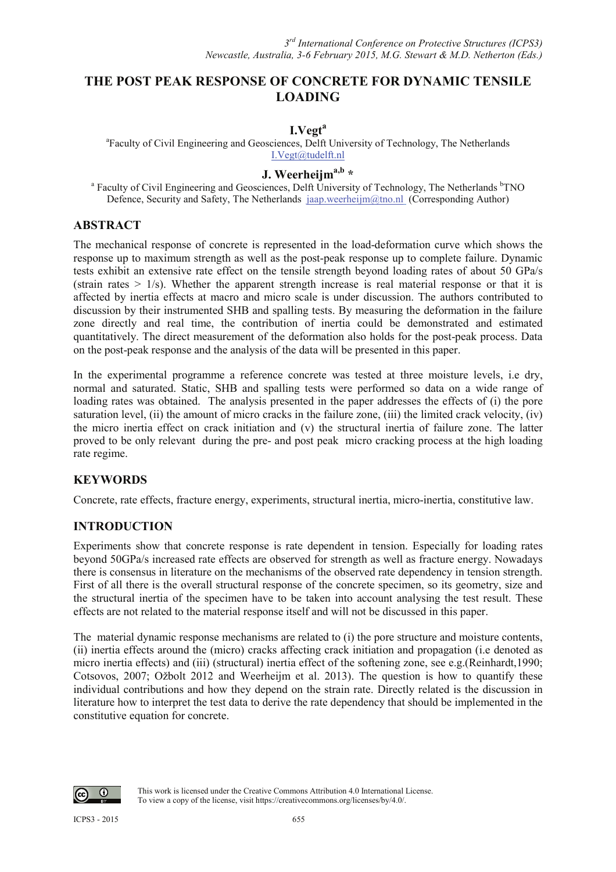# **THE POST PEAK RESPONSE OF CONCRETE FOR DYNAMIC TENSILE LOADING**

#### **I.Vegt<sup>a</sup>**

<sup>a</sup>Faculty of Civil Engineering and Geosciences, Delft University of Technology, The Netherlands I.Vegt@tudelft.nl

# **J. Weerheijma,b \***

<sup>a</sup> Faculty of Civil Engineering and Geosciences, Delft University of Technology, The Netherlands <sup>b</sup>TNO Defence, Security and Safety, The Netherlands jaap.weerheijm@tno.nl (Corresponding Author)

## **ABSTRACT**

The mechanical response of concrete is represented in the load-deformation curve which shows the response up to maximum strength as well as the post-peak response up to complete failure. Dynamic tests exhibit an extensive rate effect on the tensile strength beyond loading rates of about 50 GPa/s (strain rates  $> 1/s$ ). Whether the apparent strength increase is real material response or that it is affected by inertia effects at macro and micro scale is under discussion. The authors contributed to discussion by their instrumented SHB and spalling tests. By measuring the deformation in the failure zone directly and real time, the contribution of inertia could be demonstrated and estimated quantitatively. The direct measurement of the deformation also holds for the post-peak process. Data on the post-peak response and the analysis of the data will be presented in this paper.

In the experimental programme a reference concrete was tested at three moisture levels, i.e dry, normal and saturated. Static, SHB and spalling tests were performed so data on a wide range of loading rates was obtained. The analysis presented in the paper addresses the effects of (i) the pore saturation level, (ii) the amount of micro cracks in the failure zone, (iii) the limited crack velocity, (iv) the micro inertia effect on crack initiation and (v) the structural inertia of failure zone. The latter proved to be only relevant during the pre- and post peak micro cracking process at the high loading rate regime.

## **KEYWORDS**

Concrete, rate effects, fracture energy, experiments, structural inertia, micro-inertia, constitutive law.

## **INTRODUCTION**

Experiments show that concrete response is rate dependent in tension. Especially for loading rates beyond 50GPa/s increased rate effects are observed for strength as well as fracture energy. Nowadays there is consensus in literature on the mechanisms of the observed rate dependency in tension strength. First of all there is the overall structural response of the concrete specimen, so its geometry, size and the structural inertia of the specimen have to be taken into account analysing the test result. These effects are not related to the material response itself and will not be discussed in this paper.

The material dynamic response mechanisms are related to (i) the pore structure and moisture contents, (ii) inertia effects around the (micro) cracks affecting crack initiation and propagation (i.e denoted as micro inertia effects) and (iii) (structural) inertia effect of the softening zone, see e.g.(Reinhardt,1990; Cotsovos, 2007; Ožbolt 2012 and Weerheijm et al. 2013). The question is how to quantify these individual contributions and how they depend on the strain rate. Directly related is the discussion in literature how to interpret the test data to derive the rate dependency that should be implemented in the constitutive equation for concrete.

⋒

This work is licensed under the Creative Commons Attribution 4.0 International License. To view a copy of the license, visit https://creativecommons.org/licenses/by/4.0/.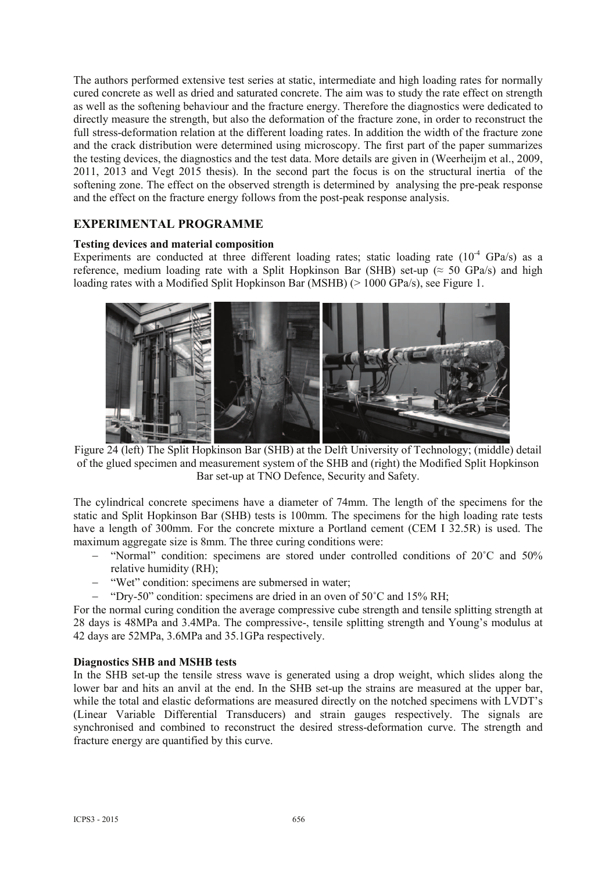The authors performed extensive test series at static, intermediate and high loading rates for normally cured concrete as well as dried and saturated concrete. The aim was to study the rate effect on strength as well as the softening behaviour and the fracture energy. Therefore the diagnostics were dedicated to directly measure the strength, but also the deformation of the fracture zone, in order to reconstruct the full stress-deformation relation at the different loading rates. In addition the width of the fracture zone and the crack distribution were determined using microscopy. The first part of the paper summarizes the testing devices, the diagnostics and the test data. More details are given in (Weerheijm et al., 2009, 2011, 2013 and Vegt 2015 thesis). In the second part the focus is on the structural inertia of the softening zone. The effect on the observed strength is determined by analysing the pre-peak response and the effect on the fracture energy follows from the post-peak response analysis.

## **EXPERIMENTAL PROGRAMME**

### **Testing devices and material composition**

Experiments are conducted at three different loading rates; static loading rate  $(10^{-4} \text{ GPa/s})$  as a reference, medium loading rate with a Split Hopkinson Bar (SHB) set-up ( $\approx$  50 GPa/s) and high loading rates with a Modified Split Hopkinson Bar (MSHB) (> 1000 GPa/s), see Figure 1.



Figure 24 (left) The Split Hopkinson Bar (SHB) at the Delft University of Technology; (middle) detail of the glued specimen and measurement system of the SHB and (right) the Modified Split Hopkinson Bar set-up at TNO Defence, Security and Safety.

The cylindrical concrete specimens have a diameter of 74mm. The length of the specimens for the static and Split Hopkinson Bar (SHB) tests is 100mm. The specimens for the high loading rate tests have a length of 300mm. For the concrete mixture a Portland cement (CEM I 32.5R) is used. The maximum aggregate size is 8mm. The three curing conditions were:

- $-$  "Normal" condition: specimens are stored under controlled conditions of  $20^{\circ}$ C and  $50\%$ relative humidity (RH);
- "Wet" condition: specimens are submersed in water;
- $-$  "Dry-50" condition: specimens are dried in an oven of 50 $^{\circ}$ C and 15% RH:

For the normal curing condition the average compressive cube strength and tensile splitting strength at 28 days is 48MPa and 3.4MPa. The compressive-, tensile splitting strength and Young's modulus at 42 days are 52MPa, 3.6MPa and 35.1GPa respectively.

#### **Diagnostics SHB and MSHB tests**

In the SHB set-up the tensile stress wave is generated using a drop weight, which slides along the lower bar and hits an anvil at the end. In the SHB set-up the strains are measured at the upper bar, while the total and elastic deformations are measured directly on the notched specimens with LVDT's (Linear Variable Differential Transducers) and strain gauges respectively. The signals are synchronised and combined to reconstruct the desired stress-deformation curve. The strength and fracture energy are quantified by this curve.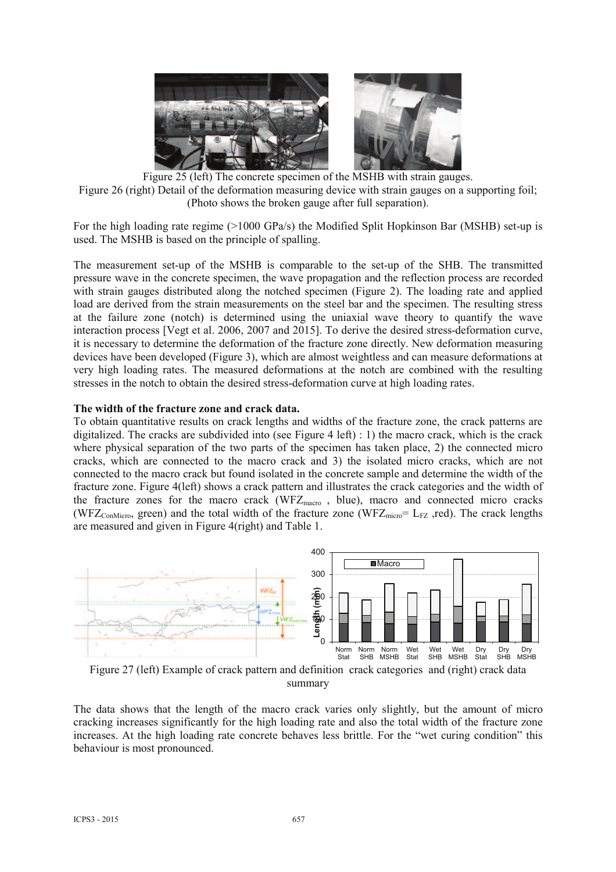

Figure 25 (left) The concrete specimen of the MSHB with strain gauges. Figure 26 (right) Detail of the deformation measuring device with strain gauges on a supporting foil; (Photo shows the broken gauge after full separation).

For the high loading rate regime (>1000 GPa/s) the Modified Split Hopkinson Bar (MSHB) set-up is used. The MSHB is based on the principle of spalling.

The measurement set-up of the MSHB is comparable to the set-up of the SHB. The transmitted pressure wave in the concrete specimen, the wave propagation and the reflection process are recorded with strain gauges distributed along the notched specimen (Figure 2). The loading rate and applied load are derived from the strain measurements on the steel bar and the specimen. The resulting stress at the failure zone (notch) is determined using the uniaxial wave theory to quantify the wave interaction process [Vegt et al. 2006, 2007 and 2015]. To derive the desired stress-deformation curve, it is necessary to determine the deformation of the fracture zone directly. New deformation measuring devices have been developed (Figure 3), which are almost weightless and can measure deformations at very high loading rates. The measured deformations at the notch are combined with the resulting stresses in the notch to obtain the desired stress-deformation curve at high loading rates.

#### **The width of the fracture zone and crack data.**

To obtain quantitative results on crack lengths and widths of the fracture zone, the crack patterns are digitalized. The cracks are subdivided into (see Figure 4 left) : 1) the macro crack, which is the crack where physical separation of the two parts of the specimen has taken place, 2) the connected micro cracks, which are connected to the macro crack and 3) the isolated micro cracks, which are not connected to the macro crack but found isolated in the concrete sample and determine the width of the fracture zone. Figure 4(left) shows a crack pattern and illustrates the crack categories and the width of the fracture zones for the macro crack (WFZ<sub>macro</sub>, blue), macro and connected micro cracks (WFZ<sub>ConMicro</sub>, green) and the total width of the fracture zone (WFZ<sub>micro</sub>= L<sub>FZ</sub> ,red). The crack lengths are measured and given in Figure 4(right) and Table 1.



summary

The data shows that the length of the macro crack varies only slightly, but the amount of micro cracking increases significantly for the high loading rate and also the total width of the fracture zone increases. At the high loading rate concrete behaves less brittle. For the "wet curing condition" this behaviour is most pronounced.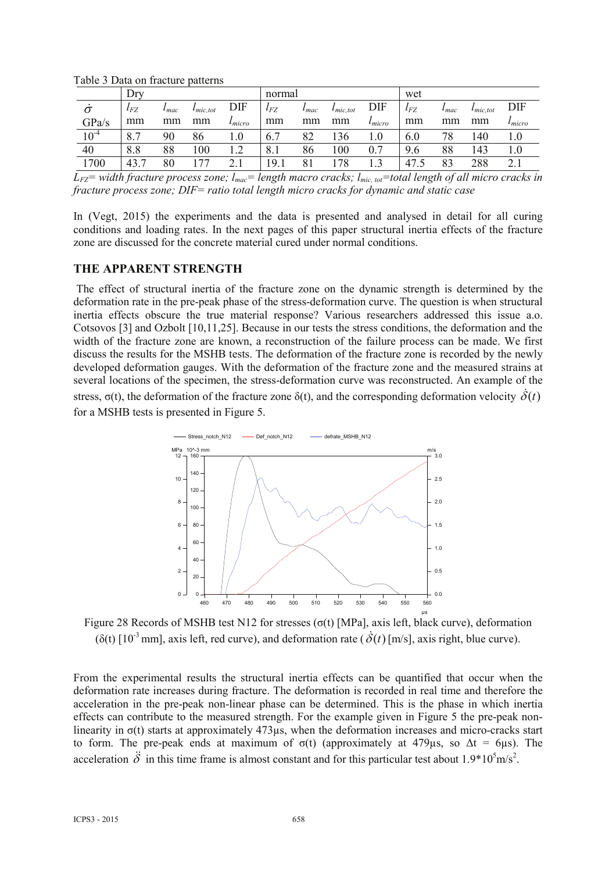|           | Dry          |               |                          |                 | normal   |               |                    |                 | wet      |               |                          |             |
|-----------|--------------|---------------|--------------------------|-----------------|----------|---------------|--------------------|-----------------|----------|---------------|--------------------------|-------------|
|           | $\iota_{FZ}$ | $\iota_{mac}$ | $l$ <sub>mic</sub> , tot | DIF             | $l_{FZ}$ | $\iota_{mac}$ | $\iota_{mic, tot}$ | DIF             | $l_{FZ}$ | $\iota_{mac}$ | $l$ <sub>mic</sub> , tot | DIF         |
| GPa/s     | mm           | mm            | mm                       | $\iota_{micro}$ | mm       | mm            | mm                 | $\iota_{micro}$ | mm       | mm            | mm                       | $l_{micro}$ |
| $10^{-4}$ | 8.7          | 90            | 86                       | $1.0\,$         | 6.7      | 82            | 136                | 1.0             | 6.0      | 78            | 140                      |             |
| 40        | 8.8          | 88            | $_{00}$                  | l .2            | 8.1      | 86            | 100                | 0.7             | 9.6      | 88            | 143                      |             |
| 1700      | 43.7         | 80            |                          | 2.1             | 19.1     |               | 78                 |                 | 47.5     | 83            | 288                      | 2.1         |

Table 3 Data on fracture patterns

 $L_{FZ}$ <sup>=</sup> width fracture process zone;  $l_{mac}$ = length macro cracks;  $l_{mic\_tot}$ =total length of all micro cracks in *fracture process zone; DIF= ratio total length micro cracks for dynamic and static case*

In (Vegt, 2015) the experiments and the data is presented and analysed in detail for all curing conditions and loading rates. In the next pages of this paper structural inertia effects of the fracture zone are discussed for the concrete material cured under normal conditions.

## **THE APPARENT STRENGTH**

The effect of structural inertia of the fracture zone on the dynamic strength is determined by the deformation rate in the pre-peak phase of the stress-deformation curve. The question is when structural inertia effects obscure the true material response? Various researchers addressed this issue a.o. Cotsovos [3] and Ozbolt [10,11,25]. Because in our tests the stress conditions, the deformation and the width of the fracture zone are known, a reconstruction of the failure process can be made. We first discuss the results for the MSHB tests. The deformation of the fracture zone is recorded by the newly developed deformation gauges. With the deformation of the fracture zone and the measured strains at several locations of the specimen, the stress-deformation curve was reconstructed. An example of the stress,  $\sigma(t)$ , the deformation of the fracture zone  $\delta(t)$ , and the corresponding deformation velocity  $\dot{\delta}(t)$ for a MSHB tests is presented in Figure 5.



Figure 28 Records of MSHB test N12 for stresses ( $\sigma(t)$  [MPa], axis left, black curve), deformation  $(\delta(t)$  [10<sup>-3</sup> mm], axis left, red curve), and deformation rate ( $\dot{\delta}(t)$  [m/s], axis right, blue curve).

From the experimental results the structural inertia effects can be quantified that occur when the deformation rate increases during fracture. The deformation is recorded in real time and therefore the acceleration in the pre-peak non-linear phase can be determined. This is the phase in which inertia effects can contribute to the measured strength. For the example given in Figure 5 the pre-peak nonlinearity in  $\sigma(t)$  starts at approximately 473 $\mu$ s, when the deformation increases and micro-cracks start to form. The pre-peak ends at maximum of  $\sigma(t)$  (approximately at 479us, so  $\Delta t = 6$ us). The acceleration  $\ddot{\delta}$  in this time frame is almost constant and for this particular test about 1.9\*10<sup>5</sup>m/s<sup>2</sup>.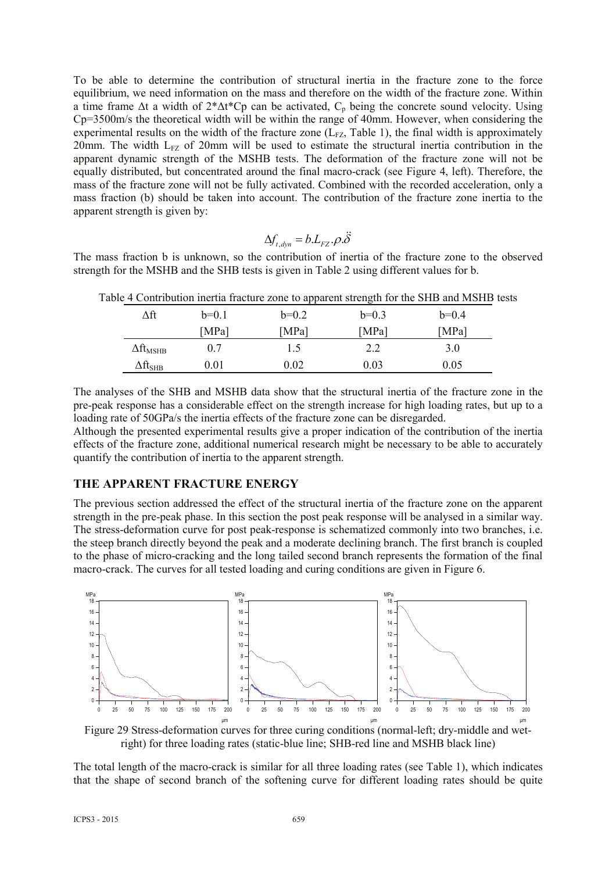To be able to determine the contribution of structural inertia in the fracture zone to the force equilibrium, we need information on the mass and therefore on the width of the fracture zone. Within a time frame  $\Delta t$  a width of  $2*\Delta t*Cp$  can be activated,  $C_p$  being the concrete sound velocity. Using Cp=3500m/s the theoretical width will be within the range of 40mm. However, when considering the experimental results on the width of the fracture zone  $(L_{FZ}$ , Table 1), the final width is approximately 20mm. The width  $L_{FZ}$  of 20mm will be used to estimate the structural inertia contribution in the apparent dynamic strength of the MSHB tests. The deformation of the fracture zone will not be equally distributed, but concentrated around the final macro-crack (see Figure 4, left). Therefore, the mass of the fracture zone will not be fully activated. Combined with the recorded acceleration, only a mass fraction (b) should be taken into account. The contribution of the fracture zone inertia to the apparent strength is given by:

$$
\Delta f_{t, dyn} = b.L_{FZ}.\rho.\ddot{\delta}
$$

The mass fraction b is unknown, so the contribution of inertia of the fracture zone to the observed strength for the MSHB and the SHB tests is given in Table 2 using different values for b.

|                             |         |         |           | $\sim$ commodular morning theories to applicate busing the $\sim$ 0.11D and morning |  |
|-----------------------------|---------|---------|-----------|-------------------------------------------------------------------------------------|--|
| Δft                         | $b=0.1$ | $b=0.2$ | $b=0.3$   | $b=0.4$                                                                             |  |
|                             | [MPa]   | [MPa]   | [ $MPa$ ] | [MPa]                                                                               |  |
| $\Delta \rm{ft}_{MSHB}$     | 0.7     | 1.5     | 2.2       | 3.0                                                                                 |  |
| $\Delta \rm{ft}_{\rm{SHB}}$ | 0.01    | 0.02    | 0.03      | 0.05                                                                                |  |

Table 4 Contribution inertia fracture zone to apparent strength for the SHB and MSHB tests

The analyses of the SHB and MSHB data show that the structural inertia of the fracture zone in the pre-peak response has a considerable effect on the strength increase for high loading rates, but up to a loading rate of 50GPa/s the inertia effects of the fracture zone can be disregarded.

Although the presented experimental results give a proper indication of the contribution of the inertia effects of the fracture zone, additional numerical research might be necessary to be able to accurately quantify the contribution of inertia to the apparent strength.

## **THE APPARENT FRACTURE ENERGY**

The previous section addressed the effect of the structural inertia of the fracture zone on the apparent strength in the pre-peak phase. In this section the post peak response will be analysed in a similar way. The stress-deformation curve for post peak-response is schematized commonly into two branches, i.e. the steep branch directly beyond the peak and a moderate declining branch. The first branch is coupled to the phase of micro-cracking and the long tailed second branch represents the formation of the final macro-crack. The curves for all tested loading and curing conditions are given in Figure 6.



Figure 29 Stress-deformation curves for three curing conditions (normal-left; dry-middle and wetright) for three loading rates (static-blue line; SHB-red line and MSHB black line)

The total length of the macro-crack is similar for all three loading rates (see Table 1), which indicates that the shape of second branch of the softening curve for different loading rates should be quite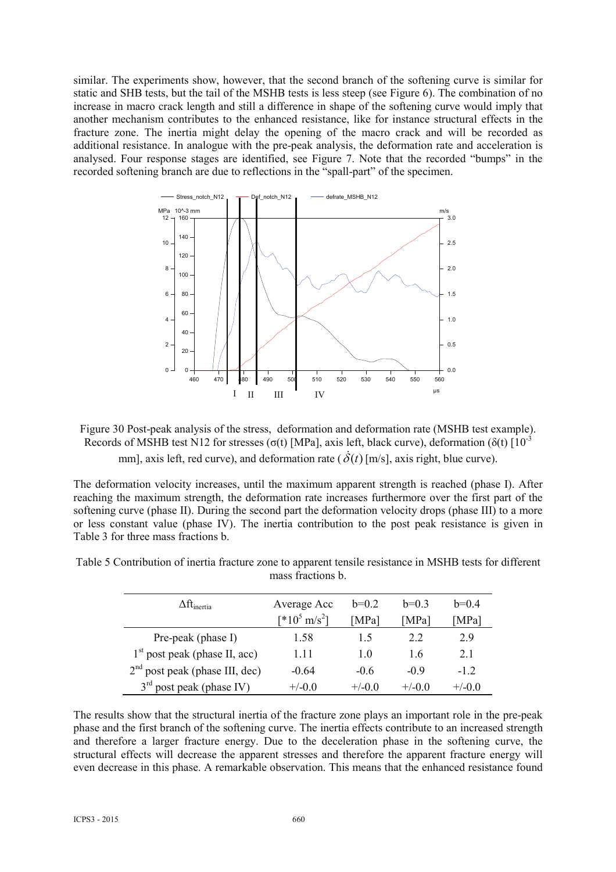similar. The experiments show, however, that the second branch of the softening curve is similar for static and SHB tests, but the tail of the MSHB tests is less steep (see Figure 6). The combination of no increase in macro crack length and still a difference in shape of the softening curve would imply that another mechanism contributes to the enhanced resistance, like for instance structural effects in the fracture zone. The inertia might delay the opening of the macro crack and will be recorded as additional resistance. In analogue with the pre-peak analysis, the deformation rate and acceleration is analysed. Four response stages are identified, see Figure 7. Note that the recorded "bumps" in the recorded softening branch are due to reflections in the "spall-part" of the specimen.



Figure 30 Post-peak analysis of the stress, deformation and deformation rate (MSHB test example). Records of MSHB test N12 for stresses ( $\sigma(t)$  [MPa], axis left, black curve), deformation ( $\delta(t)$  [10<sup>-3</sup> mm], axis left, red curve), and deformation rate  $(\dot{\delta}(t)$  [m/s], axis right, blue curve).

The deformation velocity increases, until the maximum apparent strength is reached (phase I). After reaching the maximum strength, the deformation rate increases furthermore over the first part of the softening curve (phase II). During the second part the deformation velocity drops (phase III) to a more or less constant value (phase IV). The inertia contribution to the post peak resistance is given in Table 3 for three mass fractions b.

| $\Delta \mathrm{ft}_{\mathrm{inertia}}$ | Average Acc              | $h=0.2$        | $h=0.3$  | $h=0.4$  |
|-----------------------------------------|--------------------------|----------------|----------|----------|
|                                         | $[^*10^5 \text{ m/s}^2]$ | [MPa]          | [MPa]    | [MPa]    |
| Pre-peak (phase I)                      | 1.58                     | 15             | 2.2      | 29       |
| $1st$ post peak (phase II, acc)         | 1.11                     | 1 <sub>0</sub> | 16       | 21       |
| $2nd$ post peak (phase III, dec)        | $-0.64$                  | $-06$          | $-0.9$   | $-12$    |
| $3rd$ post peak (phase IV)              | $+/-0.0$                 | $+/-0.0$       | $+/-0.0$ | $+/-0.0$ |

Table 5 Contribution of inertia fracture zone to apparent tensile resistance in MSHB tests for different mass fractions b.

The results show that the structural inertia of the fracture zone plays an important role in the pre-peak phase and the first branch of the softening curve. The inertia effects contribute to an increased strength and therefore a larger fracture energy. Due to the deceleration phase in the softening curve, the structural effects will decrease the apparent stresses and therefore the apparent fracture energy will even decrease in this phase. A remarkable observation. This means that the enhanced resistance found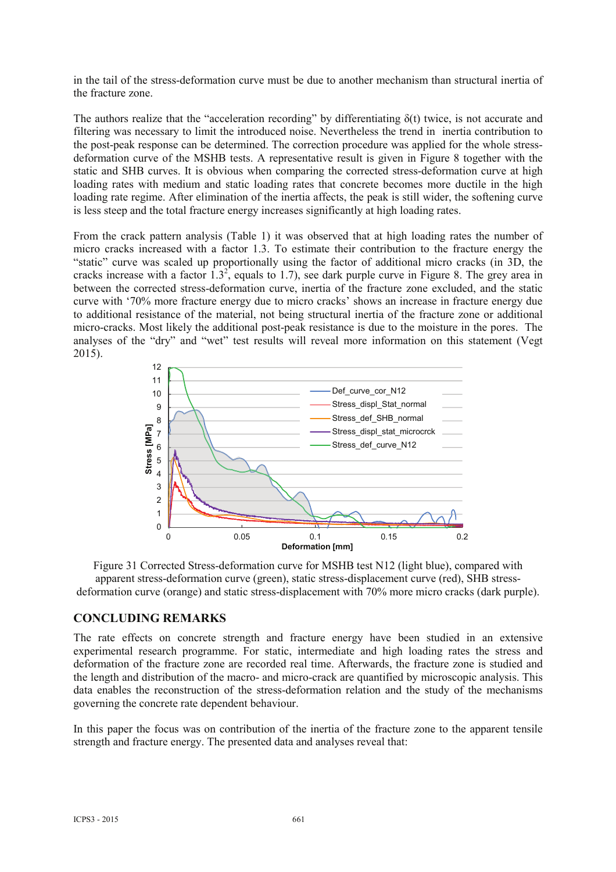in the tail of the stress-deformation curve must be due to another mechanism than structural inertia of the fracture zone.

The authors realize that the "acceleration recording" by differentiating  $\delta(t)$  twice, is not accurate and filtering was necessary to limit the introduced noise. Nevertheless the trend in inertia contribution to the post-peak response can be determined. The correction procedure was applied for the whole stressdeformation curve of the MSHB tests. A representative result is given in Figure 8 together with the static and SHB curves. It is obvious when comparing the corrected stress-deformation curve at high loading rates with medium and static loading rates that concrete becomes more ductile in the high loading rate regime. After elimination of the inertia affects, the peak is still wider, the softening curve is less steep and the total fracture energy increases significantly at high loading rates.

From the crack pattern analysis (Table 1) it was observed that at high loading rates the number of micro cracks increased with a factor 1.3. To estimate their contribution to the fracture energy the "static" curve was scaled up proportionally using the factor of additional micro cracks (in 3D, the cracks increase with a factor  $1.3^2$ , equals to 1.7), see dark purple curve in Figure 8. The grey area in between the corrected stress-deformation curve, inertia of the fracture zone excluded, and the static curve with '70% more fracture energy due to micro cracks' shows an increase in fracture energy due to additional resistance of the material, not being structural inertia of the fracture zone or additional micro-cracks. Most likely the additional post-peak resistance is due to the moisture in the pores. The analyses of the "dry" and "wet" test results will reveal more information on this statement (Vegt 2015).



Figure 31 Corrected Stress-deformation curve for MSHB test N12 (light blue), compared with apparent stress-deformation curve (green), static stress-displacement curve (red), SHB stressdeformation curve (orange) and static stress-displacement with 70% more micro cracks (dark purple).

## **CONCLUDING REMARKS**

The rate effects on concrete strength and fracture energy have been studied in an extensive experimental research programme. For static, intermediate and high loading rates the stress and deformation of the fracture zone are recorded real time. Afterwards, the fracture zone is studied and the length and distribution of the macro- and micro-crack are quantified by microscopic analysis. This data enables the reconstruction of the stress-deformation relation and the study of the mechanisms governing the concrete rate dependent behaviour.

In this paper the focus was on contribution of the inertia of the fracture zone to the apparent tensile strength and fracture energy. The presented data and analyses reveal that: